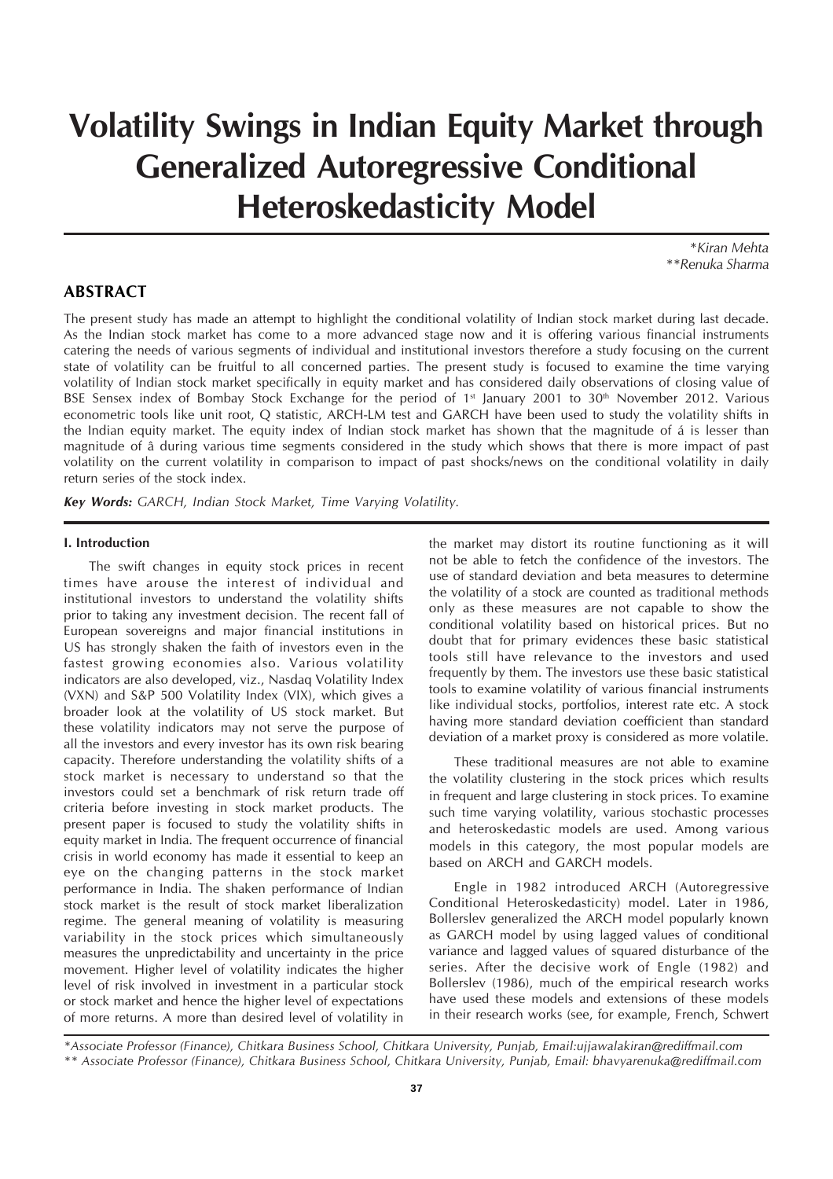# **Volatility Swings in Indian Equity Market through Generalized Autoregressive Conditional Heteroskedasticity Model**

*\*Kiran Mehta \*\*Renuka Sharma*

## **ABSTRACT**

The present study has made an attempt to highlight the conditional volatility of Indian stock market during last decade. As the Indian stock market has come to a more advanced stage now and it is offering various financial instruments catering the needs of various segments of individual and institutional investors therefore a study focusing on the current state of volatility can be fruitful to all concerned parties. The present study is focused to examine the time varying volatility of Indian stock market specifically in equity market and has considered daily observations of closing value of BSE Sensex index of Bombay Stock Exchange for the period of 1<sup>st</sup> January 2001 to 30<sup>th</sup> November 2012. Various econometric tools like unit root, Q statistic, ARCH-LM test and GARCH have been used to study the volatility shifts in the Indian equity market. The equity index of Indian stock market has shown that the magnitude of á is lesser than magnitude of â during various time segments considered in the study which shows that there is more impact of past volatility on the current volatility in comparison to impact of past shocks/news on the conditional volatility in daily return series of the stock index.

*Key Words: GARCH, Indian Stock Market, Time Varying Volatility.*

## **I. Introduction**

The swift changes in equity stock prices in recent times have arouse the interest of individual and institutional investors to understand the volatility shifts prior to taking any investment decision. The recent fall of European sovereigns and major financial institutions in US has strongly shaken the faith of investors even in the fastest growing economies also. Various volatility indicators are also developed, viz., Nasdaq Volatility Index (VXN) and S&P 500 Volatility Index (VIX), which gives a broader look at the volatility of US stock market. But these volatility indicators may not serve the purpose of all the investors and every investor has its own risk bearing capacity. Therefore understanding the volatility shifts of a stock market is necessary to understand so that the investors could set a benchmark of risk return trade off criteria before investing in stock market products. The present paper is focused to study the volatility shifts in equity market in India. The frequent occurrence of financial crisis in world economy has made it essential to keep an eye on the changing patterns in the stock market performance in India. The shaken performance of Indian stock market is the result of stock market liberalization regime. The general meaning of volatility is measuring variability in the stock prices which simultaneously measures the unpredictability and uncertainty in the price movement. Higher level of volatility indicates the higher level of risk involved in investment in a particular stock or stock market and hence the higher level of expectations of more returns. A more than desired level of volatility in the market may distort its routine functioning as it will not be able to fetch the confidence of the investors. The use of standard deviation and beta measures to determine the volatility of a stock are counted as traditional methods only as these measures are not capable to show the conditional volatility based on historical prices. But no doubt that for primary evidences these basic statistical tools still have relevance to the investors and used frequently by them. The investors use these basic statistical tools to examine volatility of various financial instruments like individual stocks, portfolios, interest rate etc. A stock having more standard deviation coefficient than standard deviation of a market proxy is considered as more volatile.

These traditional measures are not able to examine the volatility clustering in the stock prices which results in frequent and large clustering in stock prices. To examine such time varying volatility, various stochastic processes and heteroskedastic models are used. Among various models in this category, the most popular models are based on ARCH and GARCH models.

Engle in 1982 introduced ARCH (Autoregressive Conditional Heteroskedasticity) model. Later in 1986, Bollerslev generalized the ARCH model popularly known as GARCH model by using lagged values of conditional variance and lagged values of squared disturbance of the series. After the decisive work of Engle (1982) and Bollerslev (1986), much of the empirical research works have used these models and extensions of these models in their research works (see, for example, French, Schwert

*\*Associate Professor (Finance), Chitkara Business School, Chitkara University, Punjab, Email:ujjawalakiran@rediffmail.com \*\* Associate Professor (Finance), Chitkara Business School, Chitkara University, Punjab, Email: bhavyarenuka@rediffmail.com*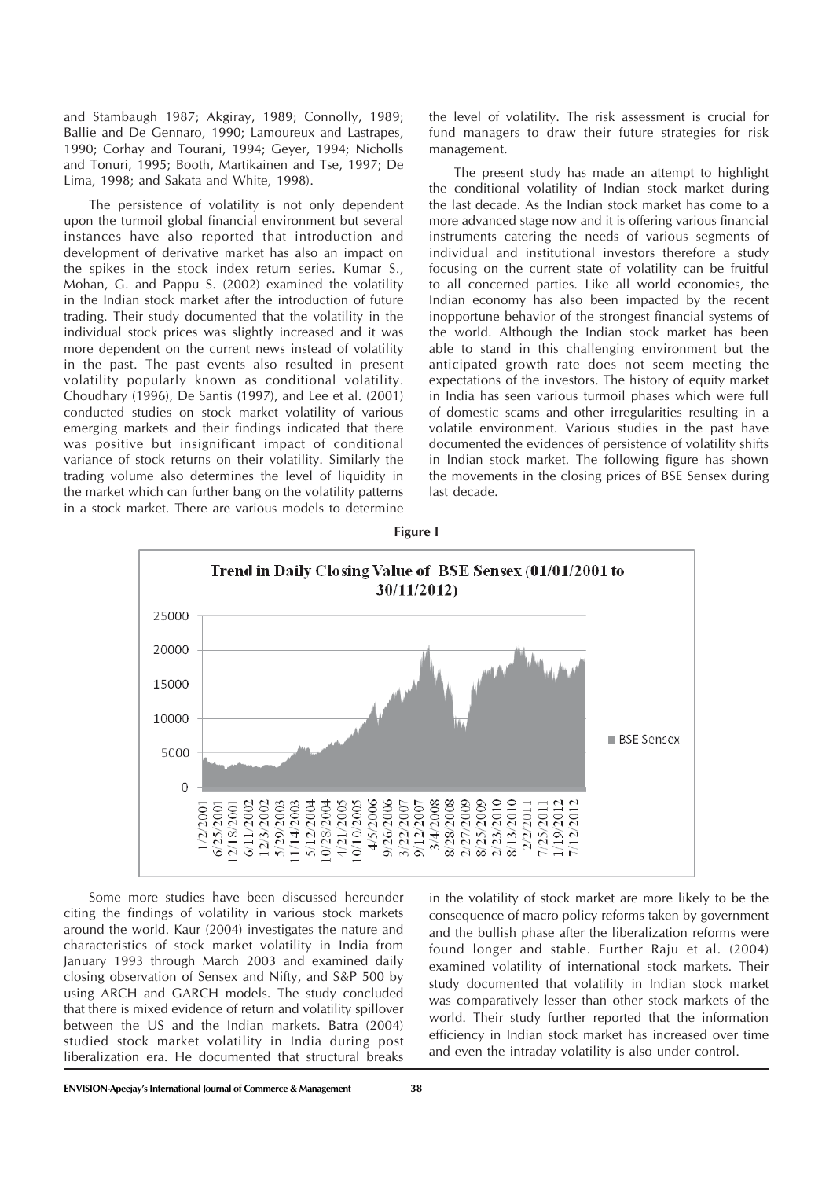and Stambaugh 1987; Akgiray, 1989; Connolly, 1989; Ballie and De Gennaro, 1990; Lamoureux and Lastrapes, 1990; Corhay and Tourani, 1994; Geyer, 1994; Nicholls and Tonuri, 1995; Booth, Martikainen and Tse, 1997; De Lima, 1998; and Sakata and White, 1998).

The persistence of volatility is not only dependent upon the turmoil global financial environment but several instances have also reported that introduction and development of derivative market has also an impact on the spikes in the stock index return series. Kumar S., Mohan, G. and Pappu S. (2002) examined the volatility in the Indian stock market after the introduction of future trading. Their study documented that the volatility in the individual stock prices was slightly increased and it was more dependent on the current news instead of volatility in the past. The past events also resulted in present volatility popularly known as conditional volatility. Choudhary (1996), De Santis (1997), and Lee et al. (2001) conducted studies on stock market volatility of various emerging markets and their findings indicated that there was positive but insignificant impact of conditional variance of stock returns on their volatility. Similarly the trading volume also determines the level of liquidity in the market which can further bang on the volatility patterns in a stock market. There are various models to determine

the level of volatility. The risk assessment is crucial for fund managers to draw their future strategies for risk management.

The present study has made an attempt to highlight the conditional volatility of Indian stock market during the last decade. As the Indian stock market has come to a more advanced stage now and it is offering various financial instruments catering the needs of various segments of individual and institutional investors therefore a study focusing on the current state of volatility can be fruitful to all concerned parties. Like all world economies, the Indian economy has also been impacted by the recent inopportune behavior of the strongest financial systems of the world. Although the Indian stock market has been able to stand in this challenging environment but the anticipated growth rate does not seem meeting the expectations of the investors. The history of equity market in India has seen various turmoil phases which were full of domestic scams and other irregularities resulting in a volatile environment. Various studies in the past have documented the evidences of persistence of volatility shifts in Indian stock market. The following figure has shown the movements in the closing prices of BSE Sensex during last decade.



Some more studies have been discussed hereunder citing the findings of volatility in various stock markets around the world. Kaur (2004) investigates the nature and characteristics of stock market volatility in India from January 1993 through March 2003 and examined daily closing observation of Sensex and Nifty, and S&P 500 by using ARCH and GARCH models. The study concluded that there is mixed evidence of return and volatility spillover between the US and the Indian markets. Batra (2004) studied stock market volatility in India during post liberalization era. He documented that structural breaks

in the volatility of stock market are more likely to be the consequence of macro policy reforms taken by government and the bullish phase after the liberalization reforms were found longer and stable. Further Raju et al. (2004) examined volatility of international stock markets. Their study documented that volatility in Indian stock market was comparatively lesser than other stock markets of the world. Their study further reported that the information efficiency in Indian stock market has increased over time and even the intraday volatility is also under control.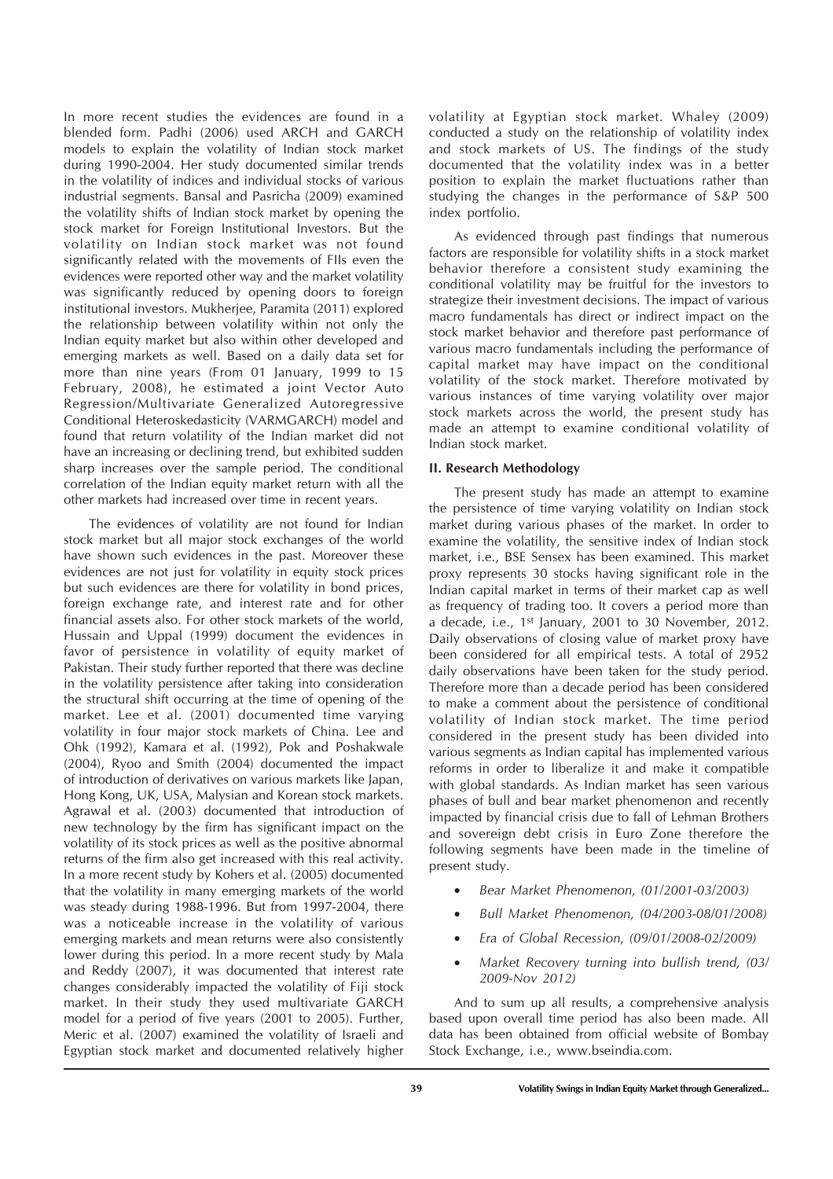In more recent studies the evidences are found in a blended form. Padhi (2006) used ARCH and GARCH models to explain the volatility of Indian stock market during 1990-2004. Her study documented similar trends in the volatility of indices and individual stocks of various industrial segments. Bansal and Pasricha (2009) examined the volatility shifts of Indian stock market by opening the stock market for Foreign Institutional Investors. But the volatility on Indian stock market was not found significantly related with the movements of FIIs even the evidences were reported other way and the market volatility was significantly reduced by opening doors to foreign institutional investors. Mukherjee, Paramita (2011) explored the relationship between volatility within not only the Indian equity market but also within other developed and emerging markets as well. Based on a daily data set for more than nine years (From 01 January, 1999 to 15 February, 2008), he estimated a joint Vector Auto Regression/Multivariate Generalized Autoregressive Conditional Heteroskedasticity (VARMGARCH) model and found that return volatility of the Indian market did not have an increasing or declining trend, but exhibited sudden sharp increases over the sample period. The conditional correlation of the Indian equity market return with all the other markets had increased over time in recent years.

The evidences of volatility are not found for Indian stock market but all major stock exchanges of the world have shown such evidences in the past. Moreover these evidences are not just for volatility in equity stock prices but such evidences are there for volatility in bond prices, foreign exchange rate, and interest rate and for other financial assets also. For other stock markets of the world, Hussain and Uppal (1999) document the evidences in favor of persistence in volatility of equity market of Pakistan. Their study further reported that there was decline in the volatility persistence after taking into consideration the structural shift occurring at the time of opening of the market. Lee et al. (2001) documented time varying volatility in four major stock markets of China. Lee and Ohk (1992), Kamara et al. (1992), Pok and Poshakwale (2004), Ryoo and Smith (2004) documented the impact of introduction of derivatives on various markets like Japan, Hong Kong, UK, USA, Malysian and Korean stock markets. Agrawal et al. (2003) documented that introduction of new technology by the firm has significant impact on the volatility of its stock prices as well as the positive abnormal returns of the firm also get increased with this real activity. In a more recent study by Kohers et al. (2005) documented that the volatility in many emerging markets of the world was steady during 1988-1996. But from 1997-2004, there was a noticeable increase in the volatility of various emerging markets and mean returns were also consistently lower during this period. In a more recent study by Mala and Reddy (2007), it was documented that interest rate changes considerably impacted the volatility of Fiji stock market. In their study they used multivariate GARCH model for a period of five years (2001 to 2005). Further, Meric et al. (2007) examined the volatility of Israeli and Egyptian stock market and documented relatively higher

volatility at Egyptian stock market. Whaley (2009) conducted a study on the relationship of volatility index and stock markets of US. The findings of the study documented that the volatility index was in a better position to explain the market fluctuations rather than studying the changes in the performance of S&P 500 index portfolio.

As evidenced through past findings that numerous factors are responsible for volatility shifts in a stock market behavior therefore a consistent study examining the conditional volatility may be fruitful for the investors to strategize their investment decisions. The impact of various macro fundamentals has direct or indirect impact on the stock market behavior and therefore past performance of various macro fundamentals including the performance of capital market may have impact on the conditional volatility of the stock market. Therefore motivated by various instances of time varying volatility over major stock markets across the world, the present study has made an attempt to examine conditional volatility of Indian stock market.

## **II. Research Methodology**

The present study has made an attempt to examine the persistence of time varying volatility on Indian stock market during various phases of the market. In order to examine the volatility, the sensitive index of Indian stock market, i.e., BSE Sensex has been examined. This market proxy represents 30 stocks having significant role in the Indian capital market in terms of their market cap as well as frequency of trading too. It covers a period more than a decade, i.e., 1st January, 2001 to 30 November, 2012. Daily observations of closing value of market proxy have been considered for all empirical tests. A total of 2952 daily observations have been taken for the study period. Therefore more than a decade period has been considered to make a comment about the persistence of conditional volatility of Indian stock market. The time period considered in the present study has been divided into various segments as Indian capital has implemented various reforms in order to liberalize it and make it compatible with global standards. As Indian market has seen various phases of bull and bear market phenomenon and recently impacted by financial crisis due to fall of Lehman Brothers and sovereign debt crisis in Euro Zone therefore the following segments have been made in the timeline of present study.

- *Bear Market Phenomenon, (01/2001-03/2003)*
- *Bull Market Phenomenon, (04/2003-08/01/2008)*
- *Era of Global Recession, (09/01/2008-02/2009)*
- *Market Recovery turning into bullish trend, (03/ 2009-Nov 2012)*

And to sum up all results, a comprehensive analysis based upon overall time period has also been made. All data has been obtained from official website of Bombay Stock Exchange, i.e., www.bseindia.com.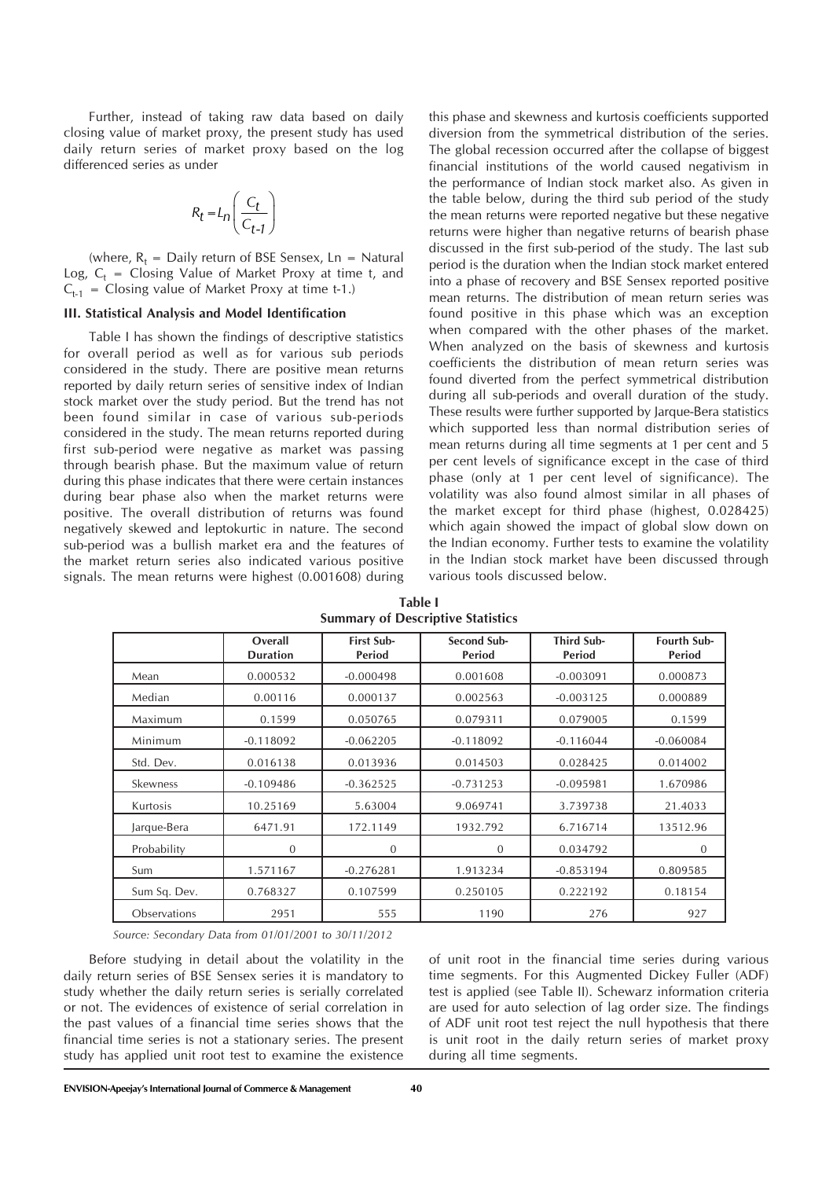Further, instead of taking raw data based on daily closing value of market proxy, the present study has used daily return series of market proxy based on the log differenced series as under

$$
R_t = L_n \left( \frac{C_t}{C_{t-1}} \right)
$$

(where,  $R_t$  = Daily return of BSE Sensex,  $Ln$  = Natural Log,  $C_t$  = Closing Value of Market Proxy at time t, and  $C_{t-1}$  = Closing value of Market Proxy at time t-1.)

#### **III. Statistical Analysis and Model Identification**

Table I has shown the findings of descriptive statistics for overall period as well as for various sub periods considered in the study. There are positive mean returns reported by daily return series of sensitive index of Indian stock market over the study period. But the trend has not been found similar in case of various sub-periods considered in the study. The mean returns reported during first sub-period were negative as market was passing through bearish phase. But the maximum value of return during this phase indicates that there were certain instances during bear phase also when the market returns were positive. The overall distribution of returns was found negatively skewed and leptokurtic in nature. The second sub-period was a bullish market era and the features of the market return series also indicated various positive signals. The mean returns were highest (0.001608) during

this phase and skewness and kurtosis coefficients supported diversion from the symmetrical distribution of the series. The global recession occurred after the collapse of biggest financial institutions of the world caused negativism in the performance of Indian stock market also. As given in the table below, during the third sub period of the study the mean returns were reported negative but these negative returns were higher than negative returns of bearish phase discussed in the first sub-period of the study. The last sub period is the duration when the Indian stock market entered into a phase of recovery and BSE Sensex reported positive mean returns. The distribution of mean return series was found positive in this phase which was an exception when compared with the other phases of the market. When analyzed on the basis of skewness and kurtosis coefficients the distribution of mean return series was found diverted from the perfect symmetrical distribution during all sub-periods and overall duration of the study. These results were further supported by Jarque-Bera statistics which supported less than normal distribution series of mean returns during all time segments at 1 per cent and 5 per cent levels of significance except in the case of third phase (only at 1 per cent level of significance). The volatility was also found almost similar in all phases of the market except for third phase (highest, 0.028425) which again showed the impact of global slow down on the Indian economy. Further tests to examine the volatility in the Indian stock market have been discussed through various tools discussed below.

|              | Overall<br><b>Duration</b> | <b>First Sub-</b><br>Period | Second Sub-<br>Period | <b>Third Sub-</b><br>Period | Fourth Sub-<br>Period |
|--------------|----------------------------|-----------------------------|-----------------------|-----------------------------|-----------------------|
| Mean         | 0.000532                   | $-0.000498$                 | 0.001608              | $-0.003091$                 | 0.000873              |
| Median       | 0.00116                    | 0.000137                    | 0.002563              | $-0.003125$                 | 0.000889              |
| Maximum      | 0.1599                     | 0.050765                    | 0.079311              | 0.079005                    | 0.1599                |
| Minimum      | $-0.118092$                | $-0.062205$                 | $-0.118092$           | $-0.116044$                 | $-0.060084$           |
| Std. Dev.    | 0.016138                   | 0.013936                    | 0.014503              | 0.028425                    | 0.014002              |
| Skewness     | $-0.109486$                | $-0.362525$                 | $-0.731253$           | $-0.095981$                 | 1.670986              |
| Kurtosis     | 10.25169                   | 5.63004                     | 9.069741              | 3.739738                    | 21.4033               |
| Jarque-Bera  | 6471.91                    | 172.1149                    | 1932.792              | 6.716714                    | 13512.96              |
| Probability  | $\Omega$                   | $\mathbf{0}$                | $\Omega$              | 0.034792                    | $\mathbf{0}$          |
| Sum          | 1.571167                   | $-0.276281$                 | 1.913234              | $-0.853194$                 | 0.809585              |
| Sum Sq. Dev. | 0.768327                   | 0.107599                    | 0.250105              | 0.222192                    | 0.18154               |
| Observations | 2951                       | 555                         | 1190                  | 276                         | 927                   |

**Table I Summary of Descriptive Statistics**

*Source: Secondary Data from 01/01/2001 to 30/11/2012*

Before studying in detail about the volatility in the daily return series of BSE Sensex series it is mandatory to study whether the daily return series is serially correlated or not. The evidences of existence of serial correlation in the past values of a financial time series shows that the financial time series is not a stationary series. The present study has applied unit root test to examine the existence

of unit root in the financial time series during various time segments. For this Augmented Dickey Fuller (ADF) test is applied (see Table II). Schewarz information criteria are used for auto selection of lag order size. The findings of ADF unit root test reject the null hypothesis that there is unit root in the daily return series of market proxy during all time segments.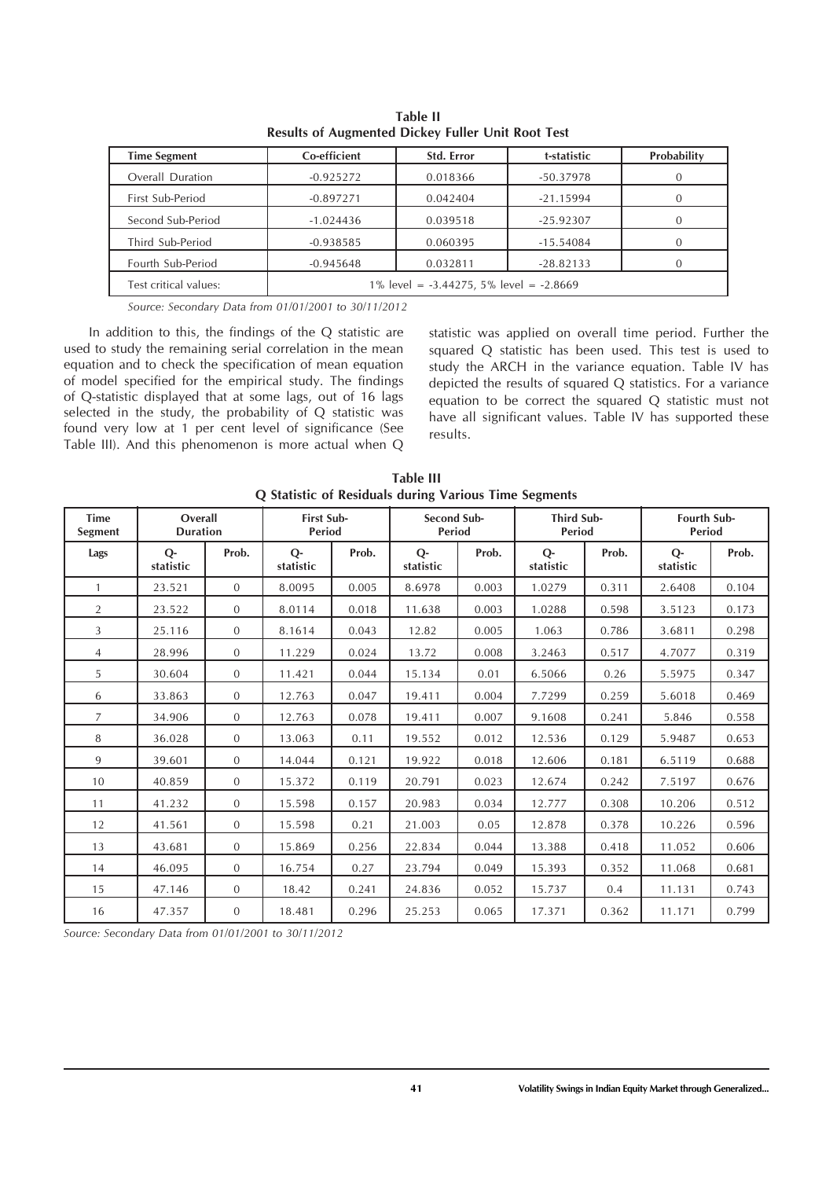| <b>Time Segment</b>   | Co-efficient                               | Std. Error | t-statistic | Probability |  |  |  |
|-----------------------|--------------------------------------------|------------|-------------|-------------|--|--|--|
| Overall Duration      | $-0.925272$                                | 0.018366   | $-50.37978$ |             |  |  |  |
| First Sub-Period      | $-0.897271$                                | 0.042404   | $-21.15994$ |             |  |  |  |
| Second Sub-Period     | $-1.024436$                                | 0.039518   | $-25.92307$ |             |  |  |  |
| Third Sub-Period      | $-0.938585$                                | 0.060395   | $-15.54084$ |             |  |  |  |
| Fourth Sub-Period     | $-0.945648$                                | 0.032811   | $-28.82133$ |             |  |  |  |
| Test critical values: | $1\%$ level = -3.44275, 5% level = -2.8669 |            |             |             |  |  |  |
|                       |                                            |            |             |             |  |  |  |

**Table II Results of Augmented Dickey Fuller Unit Root Test**

*Source: Secondary Data from 01/01/2001 to 30/11/2012*

In addition to this, the findings of the Q statistic are used to study the remaining serial correlation in the mean equation and to check the specification of mean equation of model specified for the empirical study. The findings of Q-statistic displayed that at some lags, out of 16 lags selected in the study, the probability of Q statistic was found very low at 1 per cent level of significance (See Table III). And this phenomenon is more actual when Q statistic was applied on overall time period. Further the squared Q statistic has been used. This test is used to study the ARCH in the variance equation. Table IV has depicted the results of squared Q statistics. For a variance equation to be correct the squared Q statistic must not have all significant values. Table IV has supported these results.

| <b>Time</b><br>Segment | Overall<br><b>Duration</b> |                | First Sub-<br>Period |       | Second Sub-<br>Period |       | <b>Third Sub-</b><br>Period |       | Fourth Sub-<br>Period |       |
|------------------------|----------------------------|----------------|----------------------|-------|-----------------------|-------|-----------------------------|-------|-----------------------|-------|
| Lags                   | $Q-$<br>statistic          | Prob.          | $Q-$<br>statistic    | Prob. | $Q-$<br>statistic     | Prob. | $Q-$<br>statistic           | Prob. | $Q-$<br>statistic     | Prob. |
| $\mathbf{1}$           | 23.521                     | $\mathbf{0}$   | 8.0095               | 0.005 | 8.6978                | 0.003 | 1.0279                      | 0.311 | 2.6408                | 0.104 |
| $\overline{2}$         | 23.522                     | $\overline{0}$ | 8.0114               | 0.018 | 11.638                | 0.003 | 1.0288                      | 0.598 | 3.5123                | 0.173 |
| 3                      | 25.116                     | $\overline{0}$ | 8.1614               | 0.043 | 12.82                 | 0.005 | 1.063                       | 0.786 | 3.6811                | 0.298 |
| $\overline{4}$         | 28.996                     | $\overline{0}$ | 11.229               | 0.024 | 13.72                 | 0.008 | 3.2463                      | 0.517 | 4.7077                | 0.319 |
| 5                      | 30.604                     | $\overline{0}$ | 11.421               | 0.044 | 15.134                | 0.01  | 6.5066                      | 0.26  | 5.5975                | 0.347 |
| 6                      | 33.863                     | $\overline{0}$ | 12.763               | 0.047 | 19.411                | 0.004 | 7.7299                      | 0.259 | 5.6018                | 0.469 |
| $\overline{7}$         | 34.906                     | $\overline{0}$ | 12.763               | 0.078 | 19.411                | 0.007 | 9.1608                      | 0.241 | 5.846                 | 0.558 |
| 8                      | 36.028                     | $\overline{0}$ | 13.063               | 0.11  | 19.552                | 0.012 | 12.536                      | 0.129 | 5.9487                | 0.653 |
| 9                      | 39.601                     | $\overline{0}$ | 14.044               | 0.121 | 19.922                | 0.018 | 12.606                      | 0.181 | 6.5119                | 0.688 |
| 10                     | 40.859                     | $\overline{0}$ | 15.372               | 0.119 | 20.791                | 0.023 | 12.674                      | 0.242 | 7.5197                | 0.676 |
| 11                     | 41.232                     | $\overline{0}$ | 15.598               | 0.157 | 20.983                | 0.034 | 12.777                      | 0.308 | 10.206                | 0.512 |
| 12                     | 41.561                     | $\mathbf{0}$   | 15.598               | 0.21  | 21.003                | 0.05  | 12.878                      | 0.378 | 10.226                | 0.596 |
| 13                     | 43.681                     | $\overline{0}$ | 15.869               | 0.256 | 22.834                | 0.044 | 13.388                      | 0.418 | 11.052                | 0.606 |
| 14                     | 46.095                     | $\overline{0}$ | 16.754               | 0.27  | 23.794                | 0.049 | 15.393                      | 0.352 | 11.068                | 0.681 |
| 15                     | 47.146                     | $\overline{0}$ | 18.42                | 0.241 | 24.836                | 0.052 | 15.737                      | 0.4   | 11.131                | 0.743 |
| 16                     | 47.357                     | $\mathbf{0}$   | 18.481               | 0.296 | 25.253                | 0.065 | 17.371                      | 0.362 | 11.171                | 0.799 |

**Table III Q Statistic of Residuals during Various Time Segments**

*Source: Secondary Data from 01/01/2001 to 30/11/2012*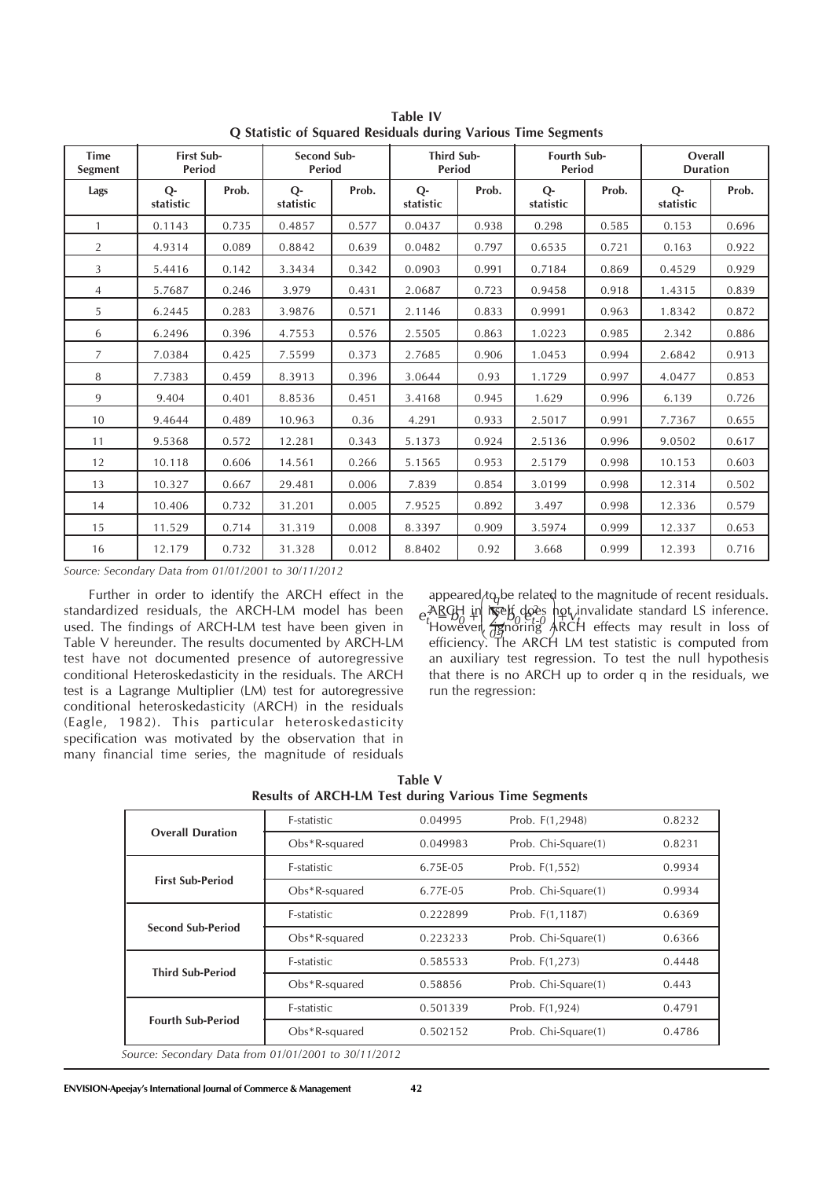| <b>Time</b><br>Segment | First Sub-<br>Period |       | Second Sub-<br>Period |       | Third Sub-<br>Period |       | Fourth Sub-<br>Period |       | Overall<br><b>Duration</b> |       |
|------------------------|----------------------|-------|-----------------------|-------|----------------------|-------|-----------------------|-------|----------------------------|-------|
| Lags                   | $Q-$<br>statistic    | Prob. | $Q-$<br>statistic     | Prob. | $Q-$<br>statistic    | Prob. | $Q-$<br>statistic     | Prob. | $Q-$<br>statistic          | Prob. |
| $\mathbf{1}$           | 0.1143               | 0.735 | 0.4857                | 0.577 | 0.0437               | 0.938 | 0.298                 | 0.585 | 0.153                      | 0.696 |
| $\overline{2}$         | 4.9314               | 0.089 | 0.8842                | 0.639 | 0.0482               | 0.797 | 0.6535                | 0.721 | 0.163                      | 0.922 |
| 3                      | 5.4416               | 0.142 | 3.3434                | 0.342 | 0.0903               | 0.991 | 0.7184                | 0.869 | 0.4529                     | 0.929 |
| $\overline{4}$         | 5.7687               | 0.246 | 3.979                 | 0.431 | 2.0687               | 0.723 | 0.9458                | 0.918 | 1.4315                     | 0.839 |
| 5                      | 6.2445               | 0.283 | 3.9876                | 0.571 | 2.1146               | 0.833 | 0.9991                | 0.963 | 1.8342                     | 0.872 |
| 6                      | 6.2496               | 0.396 | 4.7553                | 0.576 | 2.5505               | 0.863 | 1.0223                | 0.985 | 2.342                      | 0.886 |
| $\overline{7}$         | 7.0384               | 0.425 | 7.5599                | 0.373 | 2.7685               | 0.906 | 1.0453                | 0.994 | 2.6842                     | 0.913 |
| 8                      | 7.7383               | 0.459 | 8.3913                | 0.396 | 3.0644               | 0.93  | 1.1729                | 0.997 | 4.0477                     | 0.853 |
| 9                      | 9.404                | 0.401 | 8.8536                | 0.451 | 3.4168               | 0.945 | 1.629                 | 0.996 | 6.139                      | 0.726 |
| 10                     | 9.4644               | 0.489 | 10.963                | 0.36  | 4.291                | 0.933 | 2.5017                | 0.991 | 7.7367                     | 0.655 |
| 11                     | 9.5368               | 0.572 | 12.281                | 0.343 | 5.1373               | 0.924 | 2.5136                | 0.996 | 9.0502                     | 0.617 |
| 12                     | 10.118               | 0.606 | 14.561                | 0.266 | 5.1565               | 0.953 | 2.5179                | 0.998 | 10.153                     | 0.603 |
| 13                     | 10.327               | 0.667 | 29.481                | 0.006 | 7.839                | 0.854 | 3.0199                | 0.998 | 12.314                     | 0.502 |
| 14                     | 10.406               | 0.732 | 31.201                | 0.005 | 7.9525               | 0.892 | 3.497                 | 0.998 | 12.336                     | 0.579 |
| 15                     | 11.529               | 0.714 | 31.319                | 0.008 | 8.3397               | 0.909 | 3.5974                | 0.999 | 12.337                     | 0.653 |
| 16                     | 12.179               | 0.732 | 31.328                | 0.012 | 8.8402               | 0.92  | 3.668                 | 0.999 | 12.393                     | 0.716 |

**Table IV Q Statistic of Squared Residuals during Various Time Segments**

*Source: Secondary Data from 01/01/2001 to 30/11/2012*

Further in order to identify the ARCH effect in the standardized residuals, the ARCH-LM model has been used. The findings of ARCH-LM test have been given in Table V hereunder. The results documented by ARCH-LM test have not documented presence of autoregressive conditional Heteroskedasticity in the residuals. The ARCH test is a Lagrange Multiplier (LM) test for autoregressive conditional heteroskedasticity (ARCH) in the residuals (Eagle, 1982). This particular heteroskedasticity specification was motivated by the observation that in many financial time series, the magnitude of residuals

appeared/to be related to the magnitude of recent residuals. ARGH in itself does hot invalidate standard LS inference. However, *ignoring* ARCH effects may result in loss of efficiency. The ARCH LM test statistic is computed from an auxiliary test regression. To test the null hypothesis that there is no ARCH up to order q in the residuals, we run the regression: *<sup>q</sup> 2 2*  $t_{\text{Houll}}$   $\sim$  0  $t_{\text{tot}}$   $\sim$   $t_{\text{tot}}$ *0-1*  $e_{t}^{A}$  $E_{t}^{C}$  $E_{0}^{D}$   $F_{t}^{D}$   $E_{0}^{D}$   $E_{t}^{C}$   $E_{t}^{D}$   $F_{t}^{D}$ 

|                                                             | Table V |  |  |
|-------------------------------------------------------------|---------|--|--|
| <b>Results of ARCH-LM Test during Various Time Segments</b> |         |  |  |

|                          | F-statistic                                          | 0.04995  | Prob. F(1,2948)     | 0.8232 |  |  |  |
|--------------------------|------------------------------------------------------|----------|---------------------|--------|--|--|--|
| <b>Overall Duration</b>  | Obs*R-squared                                        | 0.049983 | Prob. Chi-Square(1) | 0.8231 |  |  |  |
|                          | F-statistic                                          | 6.75E-05 | Prob. F(1,552)      | 0.9934 |  |  |  |
| <b>First Sub-Period</b>  | $Obs*R$ -squared                                     | 6.77E-05 | Prob. Chi-Square(1) | 0.9934 |  |  |  |
|                          | F-statistic                                          | 0.222899 | Prob. F(1,1187)     | 0.6369 |  |  |  |
| <b>Second Sub-Period</b> | $Obs*R-squared$                                      | 0.223233 | Prob. Chi-Square(1) | 0.6366 |  |  |  |
| <b>Third Sub-Period</b>  | F-statistic                                          | 0.585533 | Prob. F(1,273)      | 0.4448 |  |  |  |
|                          | $Obs*R$ -squared                                     | 0.58856  | Prob. Chi-Square(1) | 0.443  |  |  |  |
| <b>Fourth Sub-Period</b> | F-statistic                                          | 0.501339 | Prob. F(1,924)      | 0.4791 |  |  |  |
|                          | $Obs*R-squared$                                      | 0.502152 | Prob. Chi-Square(1) | 0.4786 |  |  |  |
|                          | Source: Secondary Data from 01/01/2001 to 30/11/2012 |          |                     |        |  |  |  |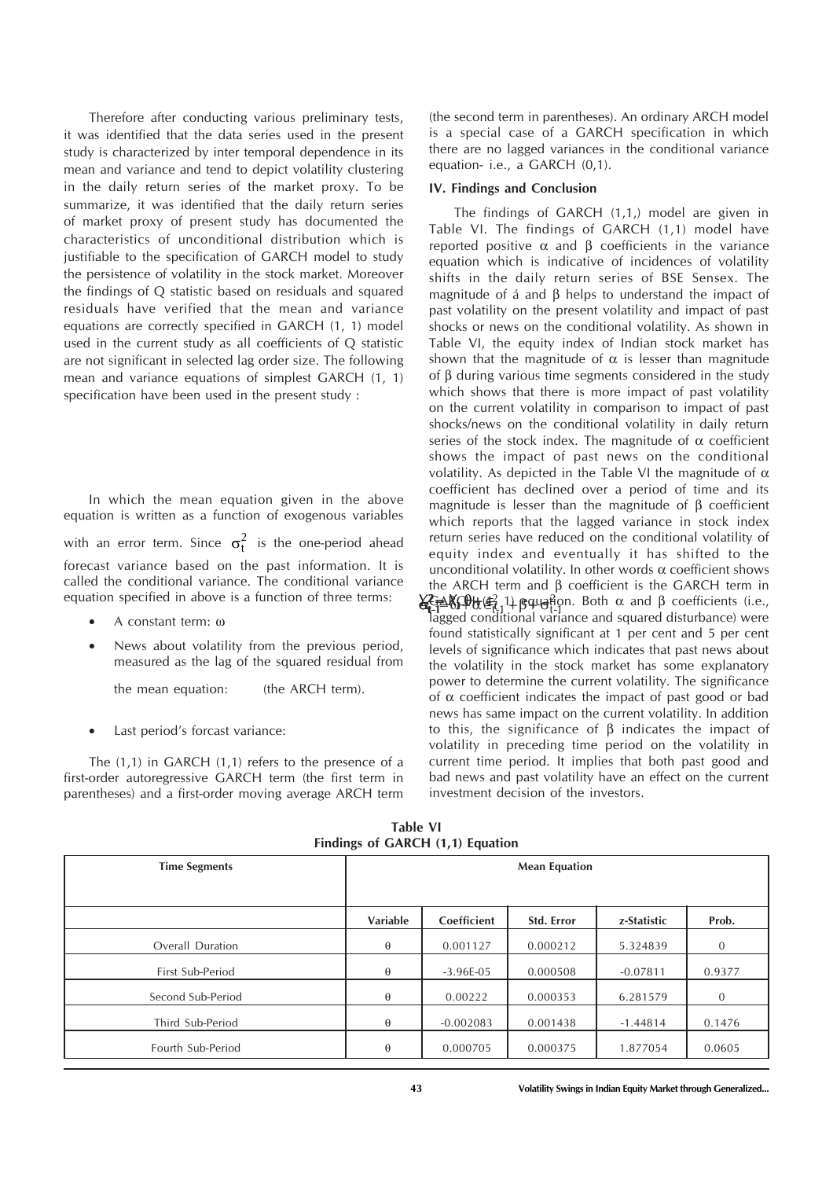Therefore after conducting various preliminary tests, it was identified that the data series used in the present study is characterized by inter temporal dependence in its mean and variance and tend to depict volatility clustering in the daily return series of the market proxy. To be summarize, it was identified that the daily return series of market proxy of present study has documented the characteristics of unconditional distribution which is justifiable to the specification of GARCH model to study the persistence of volatility in the stock market. Moreover the findings of Q statistic based on residuals and squared residuals have verified that the mean and variance equations are correctly specified in GARCH (1, 1) model used in the current study as all coefficients of Q statistic are not significant in selected lag order size. The following mean and variance equations of simplest GARCH (1, 1) specification have been used in the present study :

In which the mean equation given in the above equation is written as a function of exogenous variables with an error term. Since  $\sigma_t^2$  is the one-period ahead forecast variance based on the past information. It is called the conditional variance. The conditional variance equation specified in above is a function of three terms:

- A constant term: ω
- News about volatility from the previous period, measured as the lag of the squared residual from • A constant term:  $\omega$ <br>
• News about volatility from the previous period,<br>
measured as the lag of the squared residual from<br>
the mean equation: (the ARCH term).<br>
• Last period's forcast variance: to<br>
The (1,1) in GARCH (1

the mean equation: (the ARCH term).

Last period's forcast variance:

first-order autoregressive GARCH term (the first term in parentheses) and a first-order moving average ARCH term (the second term in parentheses). An ordinary ARCH model is a special case of a GARCH specification in which there are no lagged variances in the conditional variance equation- i.e., a GARCH (0,1).

#### **IV. Findings and Conclusion**

 $\chi_{\xi}$  **ACPU** $(\epsilon_{\xi,1}^2)$  **equation.** Both  $\alpha$  and  $\beta$  coefficients (i.e.,  $\frac{1}{2}$  and  $\alpha$  is the product of the same processes. (i.e., and produced disturbance) were The findings of GARCH (1,1,) model are given in Table VI. The findings of GARCH (1,1) model have reported positive α and β coefficients in the variance equation which is indicative of incidences of volatility shifts in the daily return series of BSE Sensex. The magnitude of á and β helps to understand the impact of past volatility on the present volatility and impact of past shocks or news on the conditional volatility. As shown in Table VI, the equity index of Indian stock market has shown that the magnitude of  $\alpha$  is lesser than magnitude of β during various time segments considered in the study which shows that there is more impact of past volatility on the current volatility in comparison to impact of past shocks/news on the conditional volatility in daily return series of the stock index. The magnitude of  $\alpha$  coefficient shows the impact of past news on the conditional volatility. As depicted in the Table VI the magnitude of  $α$ coefficient has declined over a period of time and its magnitude is lesser than the magnitude of  $β$  coefficient which reports that the lagged variance in stock index return series have reduced on the conditional volatility of equity index and eventually it has shifted to the unconditional volatility. In other words α coefficient shows the ARCH term and β coefficient is the GARCH term in

found statistically significant at 1 per cent and 5 per cent levels of significance which indicates that past news about the volatility in the stock market has some explanatory power to determine the current volatility. The significance of α coefficient indicates the impact of past good or bad news has same impact on the current volatility. In addition to this, the significance of β indicates the impact of volatility in preceding time period on the volatility in current time period. It implies that both past good and bad news and past volatility have an effect on the current investment decision of the investors.

**Table VI Findings of GARCH (1,1) Equation**

| <b>Time Segments</b> | <b>Mean Equation</b> |             |            |             |                |
|----------------------|----------------------|-------------|------------|-------------|----------------|
|                      | Variable             | Coefficient | Std. Error | z-Statistic | Prob.          |
| Overall Duration     | $\theta$             | 0.001127    | 0.000212   | 5.324839    | $\overline{0}$ |
| First Sub-Period     | $\theta$             | $-3.96E-05$ | 0.000508   | $-0.07811$  | 0.9377         |
| Second Sub-Period    | $\theta$             | 0.00222     | 0.000353   | 6.281579    | $\mathbf{0}$   |
| Third Sub-Period     | $\theta$             | $-0.002083$ | 0.001438   | $-1.44814$  | 0.1476         |
| Fourth Sub-Period    | $\theta$             | 0.000705    | 0.000375   | 1.877054    | 0.0605         |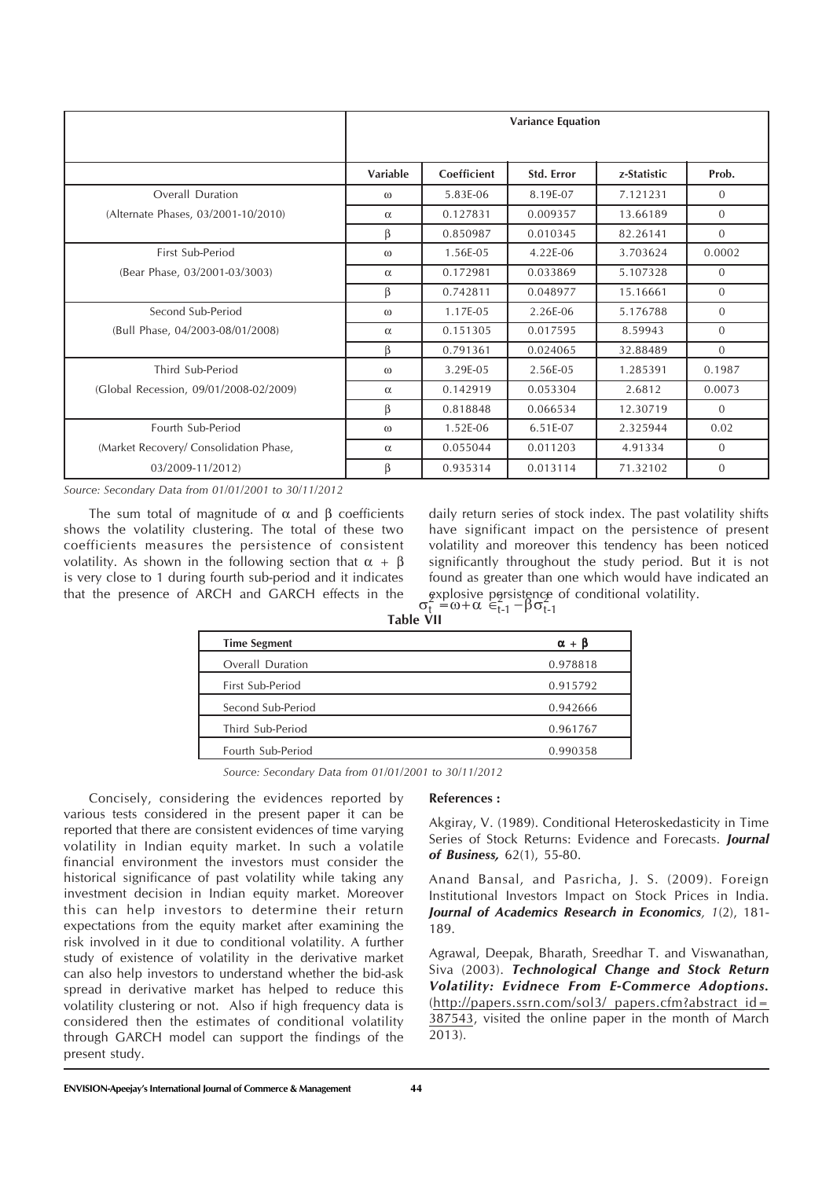|                                        |          | <b>Variance Equation</b> |            |             |                |  |  |  |
|----------------------------------------|----------|--------------------------|------------|-------------|----------------|--|--|--|
|                                        | Variable | Coefficient              | Std. Error | z-Statistic | Prob.          |  |  |  |
| Overall Duration                       | $\omega$ | 5.83E-06                 | 8.19E-07   | 7.121231    | $\overline{0}$ |  |  |  |
| (Alternate Phases, 03/2001-10/2010)    | $\alpha$ | 0.127831                 | 0.009357   | 13.66189    | $\mathbf{0}$   |  |  |  |
|                                        | β        | 0.850987                 | 0.010345   | 82.26141    | $\mathbf{0}$   |  |  |  |
| First Sub-Period                       | $\omega$ | 1.56E-05                 | $4.22E-06$ | 3.703624    | 0.0002         |  |  |  |
| (Bear Phase, 03/2001-03/3003)          | $\alpha$ | 0.172981                 | 0.033869   | 5.107328    | $\Omega$       |  |  |  |
|                                        | β        | 0.742811                 | 0.048977   | 15.16661    | $\mathbf{0}$   |  |  |  |
| Second Sub-Period                      | $\omega$ | 1.17F-05                 | 2.26E-06   | 5.176788    | $\Omega$       |  |  |  |
| (Bull Phase, 04/2003-08/01/2008)       | $\alpha$ | 0.151305                 | 0.017595   | 8.59943     | $\mathbf{0}$   |  |  |  |
|                                        | ß        | 0.791361                 | 0.024065   | 32.88489    | $\Omega$       |  |  |  |
| Third Sub-Period                       | $\omega$ | 3.29E-05                 | 2.56E-05   | 1.285391    | 0.1987         |  |  |  |
| (Global Recession, 09/01/2008-02/2009) | $\alpha$ | 0.142919                 | 0.053304   | 2.6812      | 0.0073         |  |  |  |
|                                        | β        | 0.818848                 | 0.066534   | 12.30719    | $\Omega$       |  |  |  |
| Fourth Sub-Period                      | $\omega$ | 1.52E-06                 | 6.51E-07   | 2.325944    | 0.02           |  |  |  |
| (Market Recovery/ Consolidation Phase, | $\alpha$ | 0.055044                 | 0.011203   | 4.91334     | $\mathbf{0}$   |  |  |  |
| 03/2009-11/2012)                       | β        | 0.935314                 | 0.013114   | 71.32102    | $\overline{0}$ |  |  |  |

*Source: Secondary Data from 01/01/2001 to 30/11/2012*

The sum total of magnitude of  $\alpha$  and  $\beta$  coefficients shows the volatility clustering. The total of these two coefficients measures the persistence of consistent volatility. As shown in the following section that  $\alpha + \beta$ is very close to 1 during fourth sub-period and it indicates that the presence of ARCH and GARCH effects in the

explosive persistence of conditional volatility.<br> $\sigma_t = \omega + \alpha \epsilon_{t-1} - \beta \sigma_{t-1}$ daily return series of stock index. The past volatility shifts have significant impact on the persistence of present volatility and moreover this tendency has been noticed significantly throughout the study period. But it is not found as greater than one which would have indicated an

**Table VII**

| <b>Time Segment</b> | $\alpha + \beta$ |
|---------------------|------------------|
| Overall Duration    | 0.978818         |
| First Sub-Period    | 0.915792         |
| Second Sub-Period   | 0.942666         |
| Third Sub-Period    | 0.961767         |
| Fourth Sub-Period   | 0.990358         |

*Source: Secondary Data from 01/01/2001 to 30/11/2012*

Concisely, considering the evidences reported by various tests considered in the present paper it can be reported that there are consistent evidences of time varying volatility in Indian equity market. In such a volatile financial environment the investors must consider the historical significance of past volatility while taking any investment decision in Indian equity market. Moreover this can help investors to determine their return expectations from the equity market after examining the risk involved in it due to conditional volatility. A further study of existence of volatility in the derivative market can also help investors to understand whether the bid-ask spread in derivative market has helped to reduce this volatility clustering or not. Also if high frequency data is considered then the estimates of conditional volatility through GARCH model can support the findings of the present study.

### **References :**

Akgiray, V. (1989). Conditional Heteroskedasticity in Time Series of Stock Returns: Evidence and Forecasts. *Journal of Business,* 62(1), 55-80.

Anand Bansal, and Pasricha, J. S. (2009). Foreign Institutional Investors Impact on Stock Prices in India. *Journal of Academics Research in Economics, 1*(2), 181- 189.

Agrawal, Deepak, Bharath, Sreedhar T. and Viswanathan, Siva (2003). *Technological Change and Stock Return Volatility: Evidnece From E-Commerce Adoptions.* (http://papers.ssrn.com/sol3/ papers.cfm?abstract\_id= 387543, visited the online paper in the month of March 2013)*.*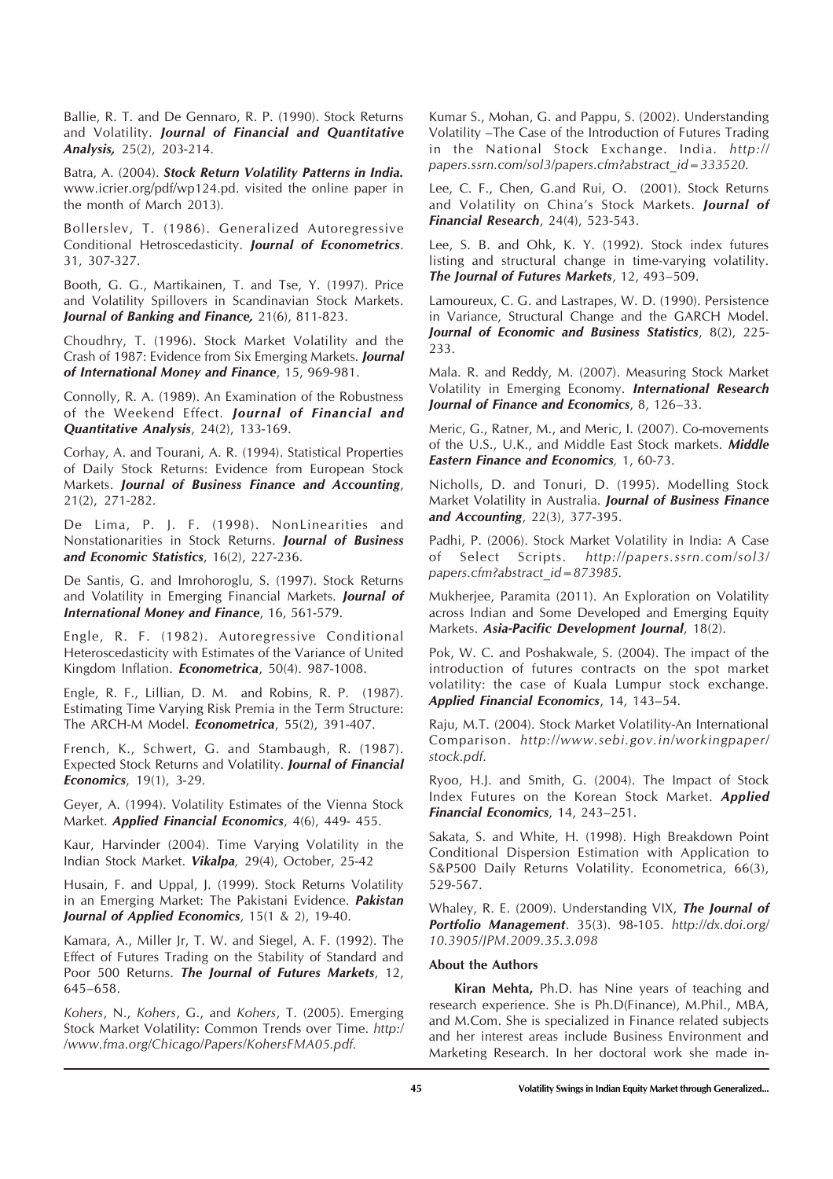Ballie, R. T. and De Gennaro, R. P. (1990). Stock Returns and Volatility. *Journal of Financial and Quantitative Analysis,* 25(2), 203-214.

Batra, A. (2004). *Stock Return Volatility Patterns in India.* www.icrier.org/pdf/wp124.pd. visited the online paper in the month of March 2013)*.*

Bollerslev, T. (1986). Generalized Autoregressive Conditional Hetroscedasticity. *Journal of Econometrics*. 31, 307-327.

Booth, G. G., Martikainen, T. and Tse, Y. (1997). Price and Volatility Spillovers in Scandinavian Stock Markets. *Journal of Banking and Finance,* 21(6), 811-823.

Choudhry, T. (1996). Stock Market Volatility and the Crash of 1987: Evidence from Six Emerging Markets. *Journal of International Money and Finance*, 15, 969-981.

Connolly, R. A. (1989). An Examination of the Robustness of the Weekend Effect. *Journal of Financial and Quantitative Analysis*, 24(2), 133-169.

Corhay, A. and Tourani, A. R. (1994). Statistical Properties of Daily Stock Returns: Evidence from European Stock Markets. *Journal of Business Finance and Accounting*, 21(2), 271-282.

De Lima, P. J. F. (1998). NonLinearities and Nonstationarities in Stock Returns. *Journal of Business and Economic Statistics*, 16(2), 227-236.

De Santis, G. and Imrohoroglu, S. (1997). Stock Returns and Volatility in Emerging Financial Markets. *Journal of International Money and Finance*, 16, 561-579.

Engle, R. F. (1982). Autoregressive Conditional Heteroscedasticity with Estimates of the Variance of United Kingdom Inflation. *Econometrica*, 50(4). 987-1008.

Engle, R. F., Lillian, D. M. and Robins, R. P. (1987). Estimating Time Varying Risk Premia in the Term Structure: The ARCH-M Model. *Econometrica*, 55(2), 391-407.

French, K., Schwert, G. and Stambaugh, R. (1987). Expected Stock Returns and Volatility. *Journal of Financial Economics*, 19(1), 3-29.

Geyer, A. (1994). Volatility Estimates of the Vienna Stock Market. *Applied Financial Economics*, 4(6), 449- 455.

Kaur, Harvinder (2004). Time Varying Volatility in the Indian Stock Market. *Vikalpa,* 29(4), October, 25-42

Husain, F. and Uppal, J. (1999). Stock Returns Volatility in an Emerging Market: The Pakistani Evidence. *Pakistan Journal of Applied Economics*, 15(1 & 2), 19-40.

Kamara, A., Miller Jr, T. W. and Siegel, A. F. (1992). The Effect of Futures Trading on the Stability of Standard and Poor 500 Returns. *The Journal of Futures Markets*, 12, 645–658.

*Kohers*, N., *Kohers*, G., and *Kohers*, T. (2005). Emerging Stock Market Volatility: Common Trends over Time. *http:/ /www.fma.org/Chicago/Papers/KohersFMA05.pdf.*

Kumar S., Mohan, G. and Pappu, S. (2002). Understanding Volatility –The Case of the Introduction of Futures Trading in the National Stock Exchange. India. *http:// papers.ssrn.com/sol3/papers.cfm?abstract\_id=333520.*

Lee, C. F., Chen, G.and Rui, O. (2001). Stock Returns and Volatility on China's Stock Markets. *Journal of Financial Research*, 24(4), 523-543.

Lee, S. B. and Ohk, K. Y. (1992). Stock index futures listing and structural change in time-varying volatility. *The Journal of Futures Markets*, 12, 493–509.

Lamoureux, C. G. and Lastrapes, W. D. (1990). Persistence in Variance, Structural Change and the GARCH Model. *Journal of Economic and Business Statistics*, 8(2), 225- 233.

Mala. R. and Reddy, M. (2007). Measuring Stock Market Volatility in Emerging Economy. *International Research Journal of Finance and Economics*, 8, 126–33.

Meric, G., Ratner, M., and Meric, I. (2007). Co-movements of the U.S., U.K., and Middle East Stock markets. *Middle Eastern Finance and Economics,* 1, 60-73.

Nicholls, D. and Tonuri, D. (1995). Modelling Stock Market Volatility in Australia. *Journal of Business Finance and Accounting*, 22(3), 377-395.

Padhi, P. (2006). Stock Market Volatility in India: A Case of Select Scripts. *http://papers.ssrn.com/sol3/ papers.cfm?abstract\_id=873985.*

Mukherjee, Paramita (2011). An Exploration on Volatility across Indian and Some Developed and Emerging Equity Markets. *Asia-Pacific Development Journal*, 18(2).

Pok, W. C. and Poshakwale, S. (2004). The impact of the introduction of futures contracts on the spot market volatility: the case of Kuala Lumpur stock exchange. *Applied Financial Economics*, 14, 143–54.

Raju, M.T. (2004). Stock Market Volatility-An International Comparison. *http://www.sebi.gov.in/workingpaper/ stock.pdf.*

Ryoo, H.J. and Smith, G. (2004). The Impact of Stock Index Futures on the Korean Stock Market. *Applied Financial Economics*, 14, 243–251.

Sakata, S. and White, H. (1998). High Breakdown Point Conditional Dispersion Estimation with Application to S&P500 Daily Returns Volatility. Econometrica, 66(3), 529-567.

Whaley, R. E. (2009). Understanding VIX, *The Journal of Portfolio Management*. 35(3). 98-105. *http://dx.doi.org/ 10.3905/JPM.2009.35.3.098*

#### **About the Authors**

**Kiran Mehta,** Ph.D. has Nine years of teaching and research experience. She is Ph.D(Finance), M.Phil., MBA, and M.Com. She is specialized in Finance related subjects and her interest areas include Business Environment and Marketing Research. In her doctoral work she made in